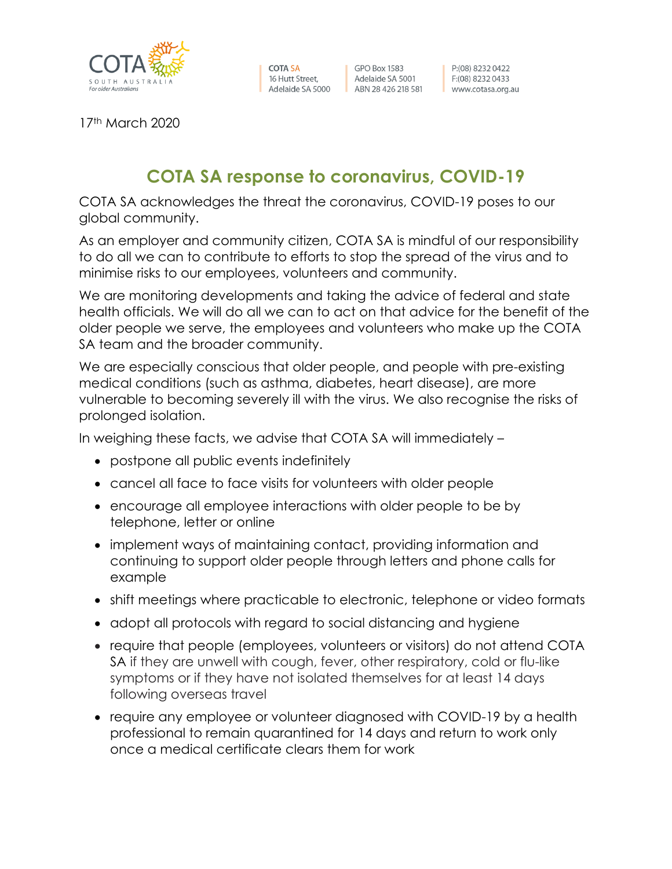

**COTA SA** 16 Hutt Street, Adelaide SA 5000 ABN 28 426 218 581

**GPO Box 1583** Adelaide SA 5001

P:(08) 8232 0422  $F:(08) 82320433$ www.cotasa.org.au

17th March 2020

## **COTA SA response to coronavirus, COVID-19**

COTA SA acknowledges the threat the coronavirus, COVID-19 poses to our global community.

As an employer and community citizen, COTA SA is mindful of our responsibility to do all we can to contribute to efforts to stop the spread of the virus and to minimise risks to our employees, volunteers and community.

We are monitoring developments and taking the advice of federal and state health officials. We will do all we can to act on that advice for the benefit of the older people we serve, the employees and volunteers who make up the COTA SA team and the broader community.

We are especially conscious that older people, and people with pre-existing medical conditions (such as asthma, diabetes, heart disease), are more vulnerable to becoming severely ill with the virus. We also recognise the risks of prolonged isolation.

In weighing these facts, we advise that COTA SA will immediately –

- postpone all public events indefinitely
- cancel all face to face visits for volunteers with older people
- encourage all employee interactions with older people to be by telephone, letter or online
- implement ways of maintaining contact, providing information and continuing to support older people through letters and phone calls for example
- shift meetings where practicable to electronic, telephone or video formats
- adopt all protocols with regard to social distancing and hygiene
- require that people (employees, volunteers or visitors) do not attend COTA SA if they are unwell with cough, fever, other respiratory, cold or flu-like symptoms or if they have not isolated themselves for at least 14 days following overseas travel
- require any employee or volunteer diagnosed with COVID-19 by a health professional to remain quarantined for 14 days and return to work only once a medical certificate clears them for work